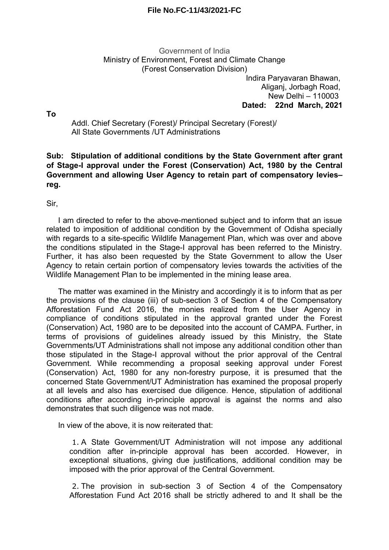## **File No.FC-11/43/2021-FC**

## Government of India Ministry of Environment, Forest and Climate Change (Forest Conservation Division)

Indira Paryavaran Bhawan, Aliganj, Jorbagh Road, New Delhi – 110003 **Dated: 22nd March, 2021**

**To**

Addl. Chief Secretary (Forest)/ Principal Secretary (Forest)/ All State Governments /UT Administrations

**Sub: Stipulation of additional conditions by the State Government after grant of Stage-I approval under the Forest (Conservation) Act, 1980 by the Central Government and allowing User Agency to retain part of compensatory levies– reg.**

Sir,

I am directed to refer to the above-mentioned subject and to inform that an issue related to imposition of additional condition by the Government of Odisha specially with regards to a site-specific Wildlife Management Plan, which was over and above the conditions stipulated in the Stage-I approval has been referred to the Ministry. Further, it has also been requested by the State Government to allow the User Agency to retain certain portion of compensatory levies towards the activities of the Wildlife Management Plan to be implemented in the mining lease area.

The matter was examined in the Ministry and accordingly it is to inform that as per the provisions of the clause (iii) of sub-section 3 of Section 4 of the Compensatory Afforestation Fund Act 2016, the monies realized from the User Agency in compliance of conditions stipulated in the approval granted under the Forest (Conservation) Act, 1980 are to be deposited into the account of CAMPA. Further, in terms of provisions of guidelines already issued by this Ministry, the State Governments/UT Administrations shall not impose any additional condition other than those stipulated in the Stage-I approval without the prior approval of the Central Government. While recommending a proposal seeking approval under Forest (Conservation) Act, 1980 for any non-forestry purpose, it is presumed that the concerned State Government/UT Administration has examined the proposal properly at all levels and also has exercised due diligence. Hence, stipulation of additional conditions after according in-principle approval is against the norms and also demonstrates that such diligence was not made.

In view of the above, it is now reiterated that:

1. A State Government/UT Administration will not impose any additional condition after in-principle approval has been accorded. However, in exceptional situations, giving due justifications, additional condition may be imposed with the prior approval of the Central Government.

2. The provision in sub-section 3 of Section 4 of the Compensatory Afforestation Fund Act 2016 shall be strictly adhered to and It shall be the